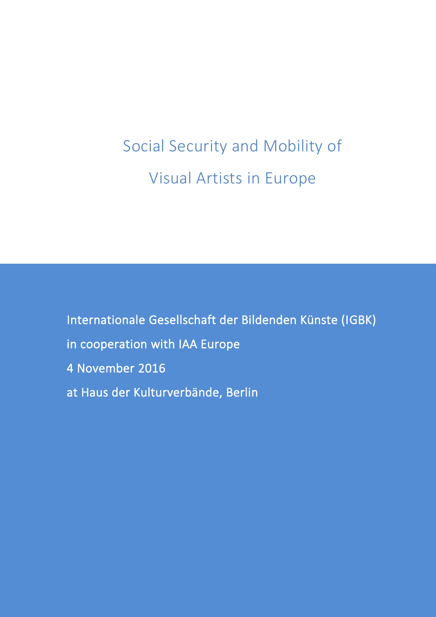Social Security and Mobility of Visual Artists in Europe

Internationale Gesellschaft der Bildenden Künste (IGBK) in cooperation with IAA Europe 4 November 2016 at Haus der Kulturverbände, Berlin

l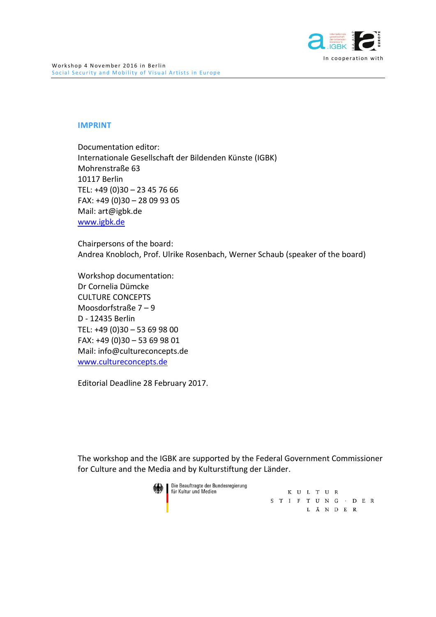

#### **IMPRINT**

Documentation editor: Internationale Gesellschaft der Bildenden Künste (IGBK) Mohrenstraße 63 10117 Berlin TEL: +49 (0)30 – 23 45 76 66 FAX: +49 (0)30 – 28 09 93 05 Mail: art@igbk.de [www.igbk.de](http://www.igbk.de/)

Chairpersons of the board: Andrea Knobloch, Prof. Ulrike Rosenbach, Werner Schaub (speaker of the board)

Workshop documentation: Dr Cornelia Dümcke CULTURE CONCEPTS Moosdorfstraße 7 – 9 D - 12435 Berlin TEL: +49 (0)30 – 53 69 98 00 FAX: +49 (0)30 – 53 69 98 01 Mail: info@cultureconcepts.de <www.cultureconcepts.de>

Editorial Deadline 28 February 2017.

The workshop and the IGBK are supported by the Federal Government Commissioner for Culture and the Media and by Kulturstiftung der Länder.

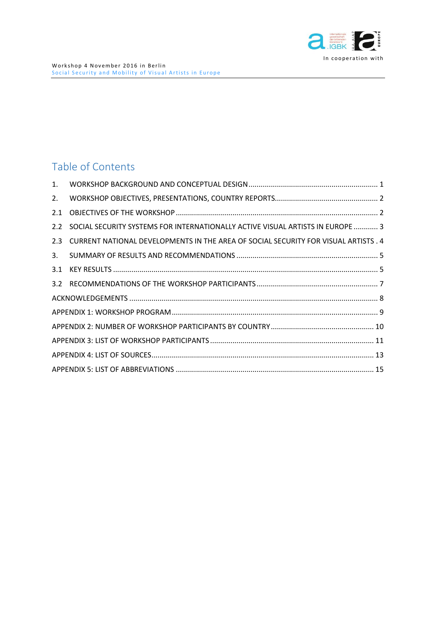

# Table of Contents

| 1.  |                                                                                     |  |
|-----|-------------------------------------------------------------------------------------|--|
| 2.  |                                                                                     |  |
| 2.1 |                                                                                     |  |
|     | 2.2 SOCIAL SECURITY SYSTEMS FOR INTERNATIONALLY ACTIVE VISUAL ARTISTS IN EUROPE  3  |  |
| 2.3 | CURRENT NATIONAL DEVELOPMENTS IN THE AREA OF SOCIAL SECURITY FOR VISUAL ARTISTS . 4 |  |
| 3.  |                                                                                     |  |
| 3.1 |                                                                                     |  |
|     |                                                                                     |  |
|     |                                                                                     |  |
|     |                                                                                     |  |
|     |                                                                                     |  |
|     |                                                                                     |  |
|     |                                                                                     |  |
|     |                                                                                     |  |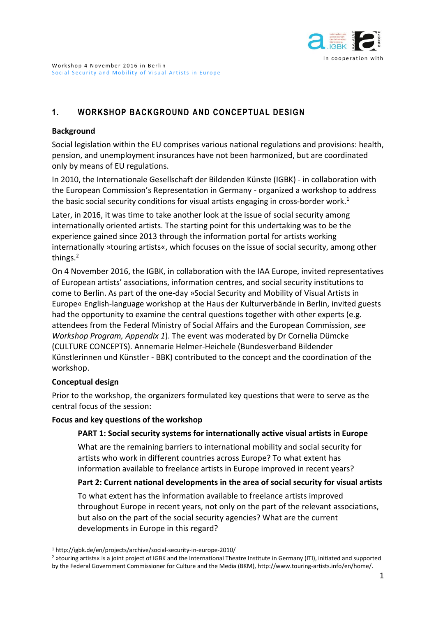

# <span id="page-3-0"></span>**1. WORKSHOP BACKGROUND AND CONCEPTUAL DESIGN**

### **Background**

Social legislation within the EU comprises various national regulations and provisions: health, pension, and unemployment insurances have not been harmonized, but are coordinated only by means of EU regulations.

In 2010, the Internationale Gesellschaft der Bildenden Künste (IGBK) - in collaboration with the European Commission's Representation in Germany - organized a workshop to address the basic social security conditions for visual artists engaging in cross-border work.<sup>1</sup>

Later, in 2016, it was time to take another look at the issue of social security among internationally oriented artists. The starting point for this undertaking was to be the experience gained since 2013 through the information portal for artists working internationally »touring artists«, which focuses on the issue of social security, among other things.<sup>2</sup>

On 4 November 2016, the IGBK, in collaboration with the IAA Europe, invited representatives of European artists' associations, information centres, and social security institutions to come to Berlin. As part of the one-day »Social Security and Mobility of Visual Artists in Europe« English-language workshop at the Haus der Kulturverbände in Berlin, invited guests had the opportunity to examine the central questions together with other experts (e.g. attendees from the Federal Ministry of Social Affairs and the European Commission, *see Workshop Program, Appendix 1*). The event was moderated by Dr Cornelia Dümcke (CULTURE CONCEPTS). Annemarie Helmer-Heichele (Bundesverband Bildender Künstlerinnen und Künstler - BBK) contributed to the concept and the coordination of the workshop.

### **Conceptual design**

 $\overline{a}$ 

Prior to the workshop, the organizers formulated key questions that were to serve as the central focus of the session:

### **Focus and key questions of the workshop**

#### **PART 1: Social security systems for internationally active visual artists in Europe**

What are the remaining barriers to international mobility and social security for artists who work in different countries across Europe? To what extent has information available to freelance artists in Europe improved in recent years?

### **Part 2: Current national developments in the area of social security for visual artists**

To what extent has the information available to freelance artists improved throughout Europe in recent years, not only on the part of the relevant associations, but also on the part of the social security agencies? What are the current developments in Europe in this regard?

<sup>1</sup> http://igbk.de/en/projects/archive/social-security-in-europe-2010/

<sup>2</sup> »touring artists« is a joint project of IGBK and the International Theatre Institute in Germany (ITI), initiated and supported by the Federal Government Commissioner for Culture and the Media (BKM), http://www.touring-artists.info/en/home/.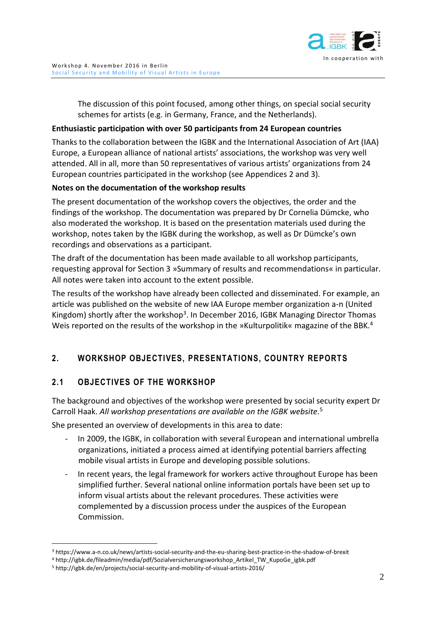

The discussion of this point focused, among other things, on special social security schemes for artists (e.g. in Germany, France, and the Netherlands).

#### **Enthusiastic participation with over 50 participants from 24 European countries**

Thanks to the collaboration between the IGBK and the International Association of Art (IAA) Europe, a European alliance of national artists' associations, the workshop was very well attended. All in all, more than 50 representatives of various artists' organizations from 24 European countries participated in the workshop (see Appendices 2 and 3).

#### **Notes on the documentation of the workshop results**

The present documentation of the workshop covers the objectives, the order and the findings of the workshop. The documentation was prepared by Dr Cornelia Dümcke, who also moderated the workshop. It is based on the presentation materials used during the workshop, notes taken by the IGBK during the workshop, as well as Dr Dümcke's own recordings and observations as a participant.

The draft of the documentation has been made available to all workshop participants, requesting approval for Section 3 »Summary of results and recommendations« in particular. All notes were taken into account to the extent possible.

The results of the workshop have already been collected and disseminated. For example, an article was published on the website of new IAA Europe member organization a-n (United Kingdom) shortly after the workshop<sup>3</sup>. In December 2016, IGBK Managing Director Thomas Weis reported on the results of the workshop in the »Kulturpolitik« magazine of the BBK.<sup>4</sup>

# <span id="page-4-0"></span>**2. WORKSHOP OBJECTIVES, PRESENTATIONS, COUNTRY REPORTS**

# <span id="page-4-1"></span>**2.1 OBJECTIVES OF THE WORKSHOP**

The background and objectives of the workshop were presented by social security expert Dr Carroll Haak. *All workshop presentations are available on the IGBK website.* 5

She presented an overview of developments in this area to date:

- In 2009, the IGBK, in collaboration with several European and international umbrella organizations, initiated a process aimed at identifying potential barriers affecting mobile visual artists in Europe and developing possible solutions.
- In recent years, the legal framework for workers active throughout Europe has been simplified further. Several national online information portals have been set up to inform visual artists about the relevant procedures. These activities were complemented by a discussion process under the auspices of the European Commission.

 $\overline{a}$ 

<sup>3</sup> https://www.a-n.co.uk/news/artists-social-security-and-the-eu-sharing-best-practice-in-the-shadow-of-brexit

<sup>4</sup> http://igbk.de/fileadmin/media/pdf/Sozialversicherungsworkshop\_Artikel\_TW\_KupoGe\_igbk.pdf

<sup>5</sup> http://igbk.de/en/projects/social-security-and-mobility-of-visual-artists-2016/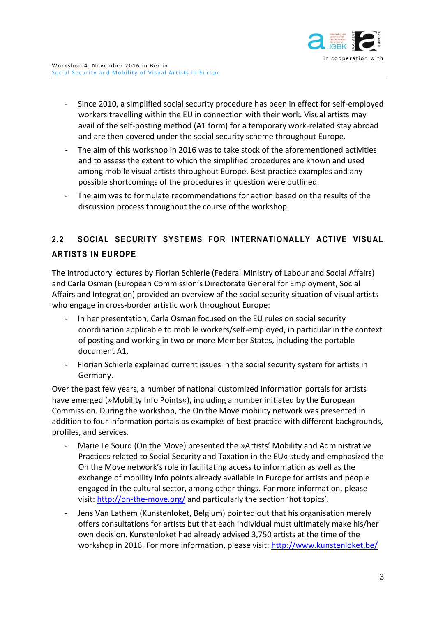

- Since 2010, a simplified social security procedure has been in effect for self-employed workers travelling within the EU in connection with their work. Visual artists may avail of the self-posting method (A1 form) for a temporary work-related stay abroad and are then covered under the social security scheme throughout Europe.
- The aim of this workshop in 2016 was to take stock of the aforementioned activities and to assess the extent to which the simplified procedures are known and used among mobile visual artists throughout Europe. Best practice examples and any possible shortcomings of the procedures in question were outlined.
- The aim was to formulate recommendations for action based on the results of the discussion process throughout the course of the workshop.

# <span id="page-5-0"></span>**2.2 SOCIAL SECURITY SYSTEMS FOR INTERNATIONALLY ACTIVE VISUAL ARTISTS IN EUROPE**

The introductory lectures by Florian Schierle (Federal Ministry of Labour and Social Affairs) and Carla Osman (European Commission's Directorate General for Employment, Social Affairs and Integration) provided an overview of the social security situation of visual artists who engage in cross-border artistic work throughout Europe:

- In her presentation, Carla Osman focused on the EU rules on social security coordination applicable to mobile workers/self-employed, in particular in the context of posting and working in two or more Member States, including the portable document A1.
- Florian Schierle explained current issues in the social security system for artists in Germany.

Over the past few years, a number of national customized information portals for artists have emerged (»Mobility Info Points«), including a number initiated by the European Commission. During the workshop, the On the Move mobility network was presented in addition to four information portals as examples of best practice with different backgrounds, profiles, and services.

- Marie Le Sourd (On the Move) presented the »Artists' Mobility and Administrative Practices related to Social Security and Taxation in the EU« study and emphasized the On the Move network's role in facilitating access to information as well as the exchange of mobility info points already available in Europe for artists and people engaged in the cultural sector, among other things. For more information, please visit:<http://on-the-move.org/> and particularly the section 'hot topics'.
- Jens Van Lathem (Kunstenloket, Belgium) pointed out that his organisation merely offers consultations for artists but that each individual must ultimately make his/her own decision. Kunstenloket had already advised 3,750 artists at the time of the workshop in 2016. For more information, please visit:<http://www.kunstenloket.be/>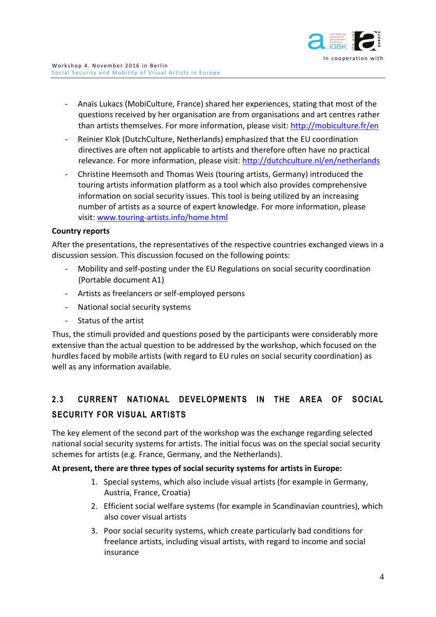

- Anaïs Lukacs (MobiCulture, France) shared her experiences, stating that most of the questions received by her organisation are from organisations and art centres rather than artists themselves. For more information, please visit:<http://mobiculture.fr/en>
- Reinier Klok (DutchCulture, Netherlands) emphasized that the EU coordination directives are often not applicable to artists and therefore often have no practical relevance. For more information, please visit:<http://dutchculture.nl/en/netherlands>
- Christine Heemsoth and Thomas Weis (touring artists, Germany) introduced the touring artists information platform as a tool which also provides comprehensive information on social security issues. This tool is being utilized by an increasing number of artists as a source of expert knowledge. For more information, please visit: [www.touring-artists.info/home.html](http://www.touring-artists.info/home.html)

#### **Country reports**

After the presentations, the representatives of the respective countries exchanged views in a discussion session. This discussion focused on the following points:

- Mobility and self-posting under the EU Regulations on social security coordination (Portable document A1)
- Artists as freelancers or self-employed persons
- National social security systems
- Status of the artist

Thus, the stimuli provided and questions posed by the participants were considerably more extensive than the actual question to be addressed by the workshop, which focused on the hurdles faced by mobile artists (with regard to EU rules on social security coordination) as well as any information available.

# <span id="page-6-0"></span>**2.3 CURRENT NATIONAL DEVELOPMENTS IN THE AREA OF SOCIAL SECURITY FOR VISUAL ARTISTS**

The key element of the second part of the workshop was the exchange regarding selected national social security systems for artists. The initial focus was on the special social security schemes for artists (e.g. France, Germany, and the Netherlands).

### **At present, there are three types of social security systems for artists in Europe:**

- 1. Special systems, which also include visual artists (for example in Germany, Austria, France, Croatia)
- 2. Efficient social welfare systems (for example in Scandinavian countries), which also cover visual artists
- 3. Poor social security systems, which create particularly bad conditions for freelance artists, including visual artists, with regard to income and social insurance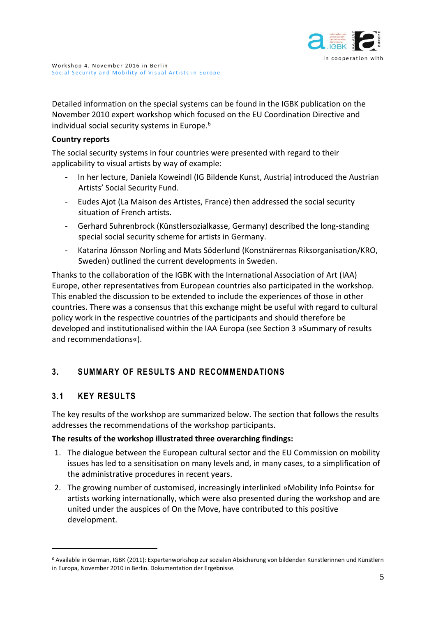

Detailed information on the special systems can be found in the IGBK publication on the November 2010 expert workshop which focused on the EU Coordination Directive and individual social security systems in Europe.<sup>6</sup>

### **Country reports**

The social security systems in four countries were presented with regard to their applicability to visual artists by way of example:

- In her lecture, Daniela Koweindl (IG Bildende Kunst, Austria) introduced the Austrian Artists' Social Security Fund.
- Eudes Ajot (La Maison des Artistes, France) then addressed the social security situation of French artists.
- Gerhard Suhrenbrock (Künstlersozialkasse, Germany) described the long-standing special social security scheme for artists in Germany.
- Katarina Jönsson Norling and Mats Söderlund (Konstnärernas Riksorganisation/KRO, Sweden) outlined the current developments in Sweden.

Thanks to the collaboration of the IGBK with the International Association of Art (IAA) Europe, other representatives from European countries also participated in the workshop. This enabled the discussion to be extended to include the experiences of those in other countries. There was a consensus that this exchange might be useful with regard to cultural policy work in the respective countries of the participants and should therefore be developed and institutionalised within the IAA Europa (see Section 3 »Summary of results and recommendations«).

# <span id="page-7-0"></span>**3. SUMMARY OF RESULTS AND RECOMMENDATIONS**

# <span id="page-7-1"></span>**3.1 KEY RESULTS**

 $\overline{a}$ 

The key results of the workshop are summarized below. The section that follows the results addresses the recommendations of the workshop participants.

### **The results of the workshop illustrated three overarching findings:**

- 1. The dialogue between the European cultural sector and the EU Commission on mobility issues has led to a sensitisation on many levels and, in many cases, to a simplification of the administrative procedures in recent years.
- 2. The growing number of customised, increasingly interlinked »Mobility Info Points« for artists working internationally, which were also presented during the workshop and are united under the auspices of On the Move, have contributed to this positive development.

<sup>6</sup> Available in German, IGBK (2011): Expertenworkshop zur sozialen Absicherung von bildenden Künstlerinnen und Künstlern in Europa, November 2010 in Berlin. Dokumentation der Ergebnisse.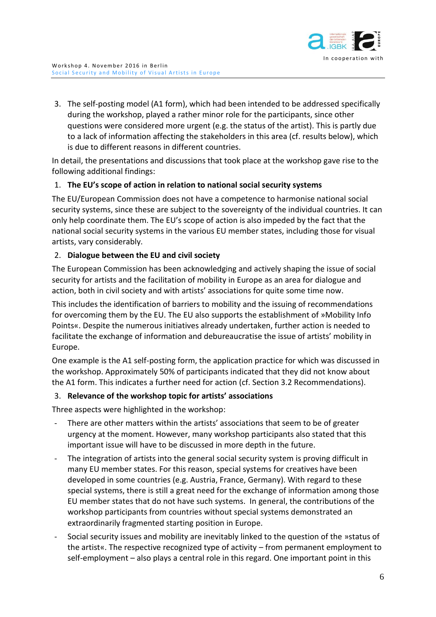

3. The self-posting model (A1 form), which had been intended to be addressed specifically during the workshop, played a rather minor role for the participants, since other questions were considered more urgent (e.g. the status of the artist). This is partly due to a lack of information affecting the stakeholders in this area (cf. results below), which is due to different reasons in different countries.

In detail, the presentations and discussions that took place at the workshop gave rise to the following additional findings:

## 1. **The EU's scope of action in relation to national social security systems**

The EU/European Commission does not have a competence to harmonise national social security systems, since these are subject to the sovereignty of the individual countries. It can only help coordinate them. The EU's scope of action is also impeded by the fact that the national social security systems in the various EU member states, including those for visual artists, vary considerably.

## 2. **Dialogue between the EU and civil society**

The European Commission has been acknowledging and actively shaping the issue of social security for artists and the facilitation of mobility in Europe as an area for dialogue and action, both in civil society and with artists' associations for quite some time now.

This includes the identification of barriers to mobility and the issuing of recommendations for overcoming them by the EU. The EU also supports the establishment of »Mobility Info Points«. Despite the numerous initiatives already undertaken, further action is needed to facilitate the exchange of information and debureaucratise the issue of artists' mobility in Europe.

One example is the A1 self-posting form, the application practice for which was discussed in the workshop. Approximately 50% of participants indicated that they did not know about the A1 form. This indicates a further need for action (cf. Section 3.2 Recommendations).

### 3. **Relevance of the workshop topic for artists' associations**

Three aspects were highlighted in the workshop:

- There are other matters within the artists' associations that seem to be of greater urgency at the moment. However, many workshop participants also stated that this important issue will have to be discussed in more depth in the future.
- The integration of artists into the general social security system is proving difficult in many EU member states. For this reason, special systems for creatives have been developed in some countries (e.g. Austria, France, Germany). With regard to these special systems, there is still a great need for the exchange of information among those EU member states that do not have such systems. In general, the contributions of the workshop participants from countries without special systems demonstrated an extraordinarily fragmented starting position in Europe.
- Social security issues and mobility are inevitably linked to the question of the »status of the artist«. The respective recognized type of activity – from permanent employment to self-employment – also plays a central role in this regard. One important point in this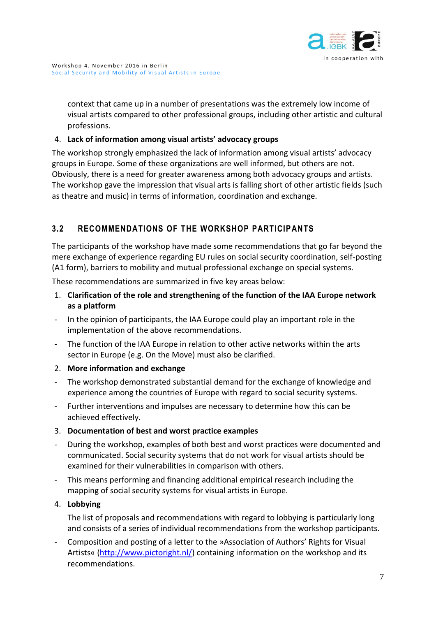

context that came up in a number of presentations was the extremely low income of visual artists compared to other professional groups, including other artistic and cultural professions.

### 4. **Lack of information among visual artists' advocacy groups**

The workshop strongly emphasized the lack of information among visual artists' advocacy groups in Europe. Some of these organizations are well informed, but others are not. Obviously, there is a need for greater awareness among both advocacy groups and artists. The workshop gave the impression that visual arts is falling short of other artistic fields (such as theatre and music) in terms of information, coordination and exchange.

# <span id="page-9-0"></span>**3.2 RECOMMENDATIONS OF THE WORKSHOP PARTICIPANTS**

The participants of the workshop have made some recommendations that go far beyond the mere exchange of experience regarding EU rules on social security coordination, self-posting (A1 form), barriers to mobility and mutual professional exchange on special systems.

These recommendations are summarized in five key areas below:

- 1. **Clarification of the role and strengthening of the function of the IAA Europe network as a platform**
- In the opinion of participants, the IAA Europe could play an important role in the implementation of the above recommendations.
- The function of the IAA Europe in relation to other active networks within the arts sector in Europe (e.g. On the Move) must also be clarified.
- 2. **More information and exchange**
- The workshop demonstrated substantial demand for the exchange of knowledge and experience among the countries of Europe with regard to social security systems.
- Further interventions and impulses are necessary to determine how this can be achieved effectively.
- 3. **Documentation of best and worst practice examples**
- During the workshop, examples of both best and worst practices were documented and communicated. Social security systems that do not work for visual artists should be examined for their vulnerabilities in comparison with others.
- This means performing and financing additional empirical research including the mapping of social security systems for visual artists in Europe.

#### 4. **Lobbying**

The list of proposals and recommendations with regard to lobbying is particularly long and consists of a series of individual recommendations from the workshop participants.

Composition and posting of a letter to the »Association of Authors' Rights for Visual Artists« [\(http://www.pictoright.nl/\)](http://www.pictoright.nl/) containing information on the workshop and its recommendations.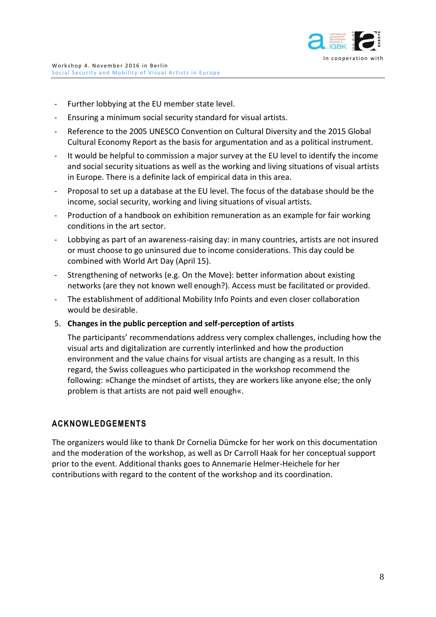

- Further lobbying at the EU member state level.
- Ensuring a minimum social security standard for visual artists.
- Reference to the 2005 UNESCO Convention on Cultural Diversity and the 2015 Global Cultural Economy Report as the basis for argumentation and as a political instrument.
- It would be helpful to commission a major survey at the EU level to identify the income and social security situations as well as the working and living situations of visual artists in Europe. There is a definite lack of empirical data in this area.
- Proposal to set up a database at the EU level. The focus of the database should be the income, social security, working and living situations of visual artists.
- Production of a handbook on exhibition remuneration as an example for fair working conditions in the art sector.
- Lobbying as part of an awareness-raising day: in many countries, artists are not insured or must choose to go uninsured due to income considerations. This day could be combined with World Art Day (April 15).
- Strengthening of networks (e.g. On the Move): better information about existing networks (are they not known well enough?). Access must be facilitated or provided.
- The establishment of additional Mobility Info Points and even closer collaboration would be desirable.
- 5. **Changes in the public perception and self-perception of artists**

The participants' recommendations address very complex challenges, including how the visual arts and digitalization are currently interlinked and how the production environment and the value chains for visual artists are changing as a result. In this regard, the Swiss colleagues who participated in the workshop recommend the following: »Change the mindset of artists, they are workers like anyone else; the only problem is that artists are not paid well enough«.

# <span id="page-10-0"></span>**ACKNOWLEDGEMENTS**

The organizers would like to thank Dr Cornelia Dümcke for her work on this documentation and the moderation of the workshop, as well as Dr Carroll Haak for her conceptual support prior to the event. Additional thanks goes to Annemarie Helmer-Heichele for her contributions with regard to the content of the workshop and its coordination.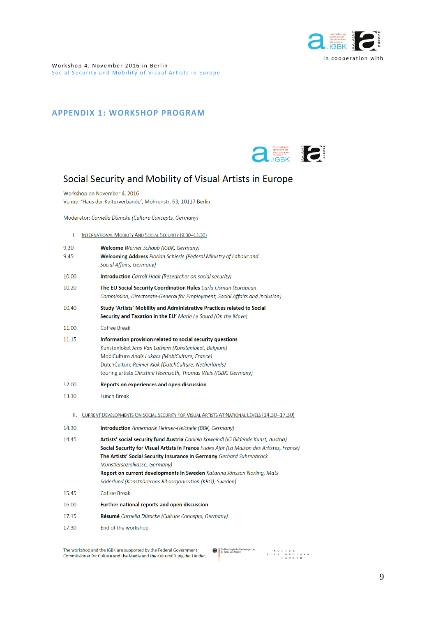

#### <span id="page-11-0"></span>**APPENDIX 1: WORKSHOP PROGRAM**



# Social Security and Mobility of Visual Artists in Europe

Workshop on November 4, 2016 Venue: 'Haus der Kulturverbände', Mohrenstr. 63, 10117 Berlin

Moderator: Cornelia Dümcke (Culture Concepts, Germany)

I. INTERNATIONAL MOBILITY AND SOCIAL SECURITY (9.30-13.30)

| 9.30  | <b>Welcome</b> Werner Schaub (IGBK, Germany)                                                |
|-------|---------------------------------------------------------------------------------------------|
| 9.45  | <b>Welcoming Address</b> Florian Schierle (Federal Ministry of Labour and                   |
|       | Social Affairs, Germany)                                                                    |
| 10.00 | <b>Introduction</b> Carroll Haak (Researcher on social security)                            |
| 10.20 | The EU Social Security Coordination Rules Carla Osman (European                             |
|       | Commission, Directorate-General for Employment, Social Affairs and Inclusion)               |
| 10.40 | Study 'Artists' Mobility and Administrative Practices related to Social                     |
|       | Security and Taxation in the EU' Marie Le Sourd (On the Move)                               |
| 11.00 | Coffee Break                                                                                |
| 11.15 | Information provision related to social security questions                                  |
|       | Kunstenloket Jens Van Lathem (Kunstenloket, Belgium)                                        |
|       | MobiCulture Anaïs Lukacs (MobiCulture, France)                                              |
|       | DutchCulture Reinier Klok (DutchCulture, Netherlands)                                       |
|       | touring artists Christine Heemsoth, Thomas Weis (IGBK, Germany)                             |
| 12.00 | Reports on experiences and open discussion                                                  |
| 13.30 | <b>Lunch Break</b>                                                                          |
| Ш.    | CURRENT DEVELOPMENTS ON SOCIAL SECURITY FOR VISUAL ARTISTS AT NATIONAL LEVELS (14.30-17.30) |
| 14.30 | <b>Introduction</b> Annemarie Helmer-Heichele (BBK, Germany)                                |
| 14.45 | Artists' social security fund Austria Daniela Koweindl (IG Bildende Kunst, Austria)         |
|       | Social Security for Visual Artists in France Eudes Ajot (La Maison des Artistes, France)    |
|       | The Artists' Social Security Insurance in Germany Gerhard Suhrenbrock                       |
|       | (Künstlersozialkasse, Germany)                                                              |
|       | Report on current developments in Sweden Katarina Jönsson Norling, Mats                     |
|       | Söderlund (Konstnärernas Riksorganisation (KRO), Sweden)                                    |
| 15.45 | Coffee Break                                                                                |
| 16.00 | Further national reports and open discussion                                                |
| 17.15 | <b>Résumé</b> Cornelia Dümcke (Culture Concepts, Germany)                                   |
| 17.30 | End of the workshop                                                                         |
|       |                                                                                             |

**Co** Die Beauftragte der Bundesregierung<br>Refer Kultur und Medien  $\begin{array}{cccccccccccccc} & K & U & L & T & U & R & & & \\ \text{S} & T & I & F & T & U & N & G & \cdot & D & E & R & \\ & & & L & \bar{A} & N & D & E & R & & \end{array}$ 

The workshop and the IGBK are supported by the Federal Government Commissioner for Culture and the Media and the Kulturstiftung der Länder.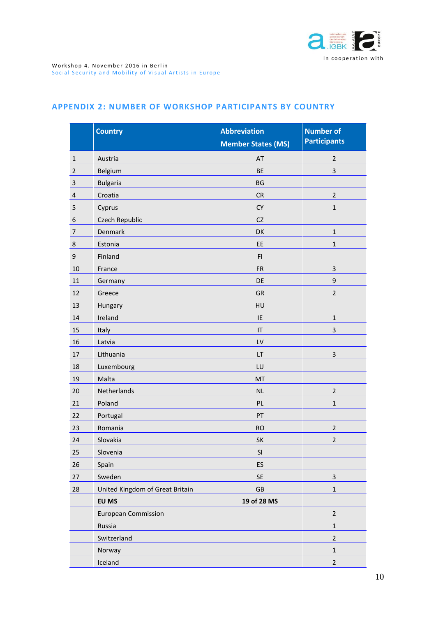

#### <span id="page-12-0"></span>**APPENDIX 2: NUMBER OF WORKSHOP PARTICIPANTS BY COUNTRY**

|                | <b>Country</b>                  | <b>Abbreviation</b>       | <b>Number of</b>    |
|----------------|---------------------------------|---------------------------|---------------------|
|                |                                 | <b>Member States (MS)</b> | <b>Participants</b> |
| $\mathbf{1}$   | Austria                         | AT                        | $\overline{2}$      |
| $\overline{2}$ | Belgium                         | <b>BE</b>                 | 3                   |
| 3              | <b>Bulgaria</b>                 | <b>BG</b>                 |                     |
| $\overline{4}$ | Croatia                         | ${\sf CR}$                | $\mathbf 2$         |
| 5              | Cyprus                          | ${\sf CY}$                | $1\,$               |
| 6              | Czech Republic                  | <b>CZ</b>                 |                     |
| 7              | Denmark                         | DK                        | $\mathbf 1$         |
| 8              | Estonia                         | EE                        | $\mathbf 1$         |
| 9              | Finland                         | F1                        |                     |
| 10             | France                          | <b>FR</b>                 | $\mathsf 3$         |
| 11             | Germany                         | DE                        | $\boldsymbol{9}$    |
| 12             | Greece                          | GR                        | $\overline{2}$      |
| 13             | Hungary                         | HU                        |                     |
| 14             | Ireland                         | IE                        | $\mathbf 1$         |
| 15             | Italy                           | IT                        | 3                   |
| 16             | Latvia                          | LV                        |                     |
| 17             | Lithuania                       | LT                        | $\mathsf 3$         |
| 18             | Luxembourg                      | LU                        |                     |
| 19             | Malta                           | MT                        |                     |
| 20             | Netherlands                     | <b>NL</b>                 | $\overline{2}$      |
| 21             | Poland                          | PL                        | $\mathbf 1$         |
| 22             | Portugal                        | PT                        |                     |
| 23             | Romania                         | <b>RO</b>                 | $\overline{2}$      |
| 24             | Slovakia                        | SK                        | $\overline{2}$      |
| 25             | Slovenia                        | SI                        |                     |
| 26             | Spain                           | ES                        |                     |
| 27             | Sweden                          | SE                        | $\mathbf{3}$        |
| 28             | United Kingdom of Great Britain | $\mathsf{G}\mathsf{B}$    | $\mathbf 1$         |
|                | EU MS                           | 19 of 28 MS               |                     |
|                | <b>European Commission</b>      |                           | $\overline{2}$      |
|                | Russia                          |                           | $\mathbf 1$         |
|                | Switzerland                     |                           | $\overline{2}$      |
|                | Norway                          |                           | $\mathbf{1}$        |
|                | Iceland                         |                           | $\overline{2}$      |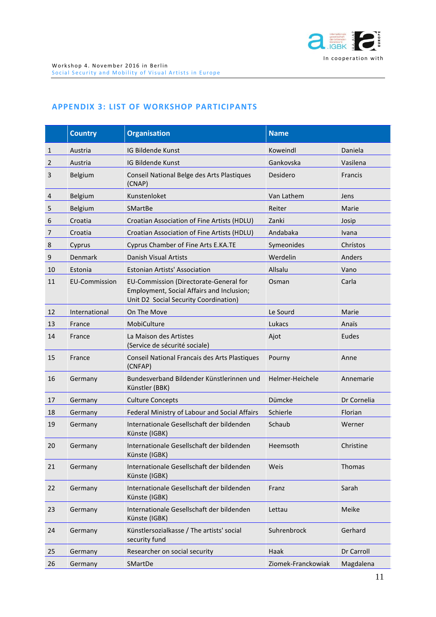

#### <span id="page-13-0"></span>**APPENDIX 3: LIST OF WORKSHOP PARTICIPANTS**

|                | <b>Country</b>       | <b>Organisation</b>                                                                                                          | <b>Name</b>        |             |
|----------------|----------------------|------------------------------------------------------------------------------------------------------------------------------|--------------------|-------------|
| 1              | Austria              | IG Bildende Kunst                                                                                                            | Koweindl           | Daniela     |
| $\overline{2}$ | Austria              | IG Bildende Kunst                                                                                                            | Gankovska          | Vasilena    |
| 3              | Belgium              | Conseil National Belge des Arts Plastiques<br>(CNAP)                                                                         | Desidero           | Francis     |
| 4              | Belgium              | Kunstenloket                                                                                                                 | Van Lathem         | Jens        |
| 5              | Belgium              | <b>SMartBe</b>                                                                                                               | Reiter             | Marie       |
| 6              | Croatia              | Croatian Association of Fine Artists (HDLU)                                                                                  | Zanki              | Josip       |
| 7              | Croatia              | Croatian Association of Fine Artists (HDLU)                                                                                  | Andabaka           | Ivana       |
| 8              | Cyprus               | Cyprus Chamber of Fine Arts E.KA.TE                                                                                          | Symeonides         | Chrístos    |
| 9              | Denmark              | Danish Visual Artists                                                                                                        | Werdelin           | Anders      |
| 10             | Estonia              | <b>Estonian Artists' Association</b>                                                                                         | Allsalu            | Vano        |
| 11             | <b>EU-Commission</b> | EU-Commission (Directorate-General for<br>Employment, Social Affairs and Inclusion;<br>Unit D2 Social Security Coordination) | Osman              | Carla       |
| 12             | International        | On The Move                                                                                                                  | Le Sourd           | Marie       |
| 13             | France               | MobiCulture                                                                                                                  | Lukacs             | Anaïs       |
| 14             | France               | La Maison des Artistes<br>(Service de sécurité sociale)                                                                      | Ajot               | Eudes       |
| 15             | France               | Conseil National Francais des Arts Plastiques<br>(CNFAP)                                                                     | Pourny             | Anne        |
| 16             | Germany              | Bundesverband Bildender Künstlerinnen und<br>Künstler (BBK)                                                                  | Helmer-Heichele    | Annemarie   |
| 17             | Germany              | <b>Culture Concepts</b>                                                                                                      | Dümcke             | Dr Cornelia |
| 18             | Germany              | Federal Ministry of Labour and Social Affairs                                                                                | Schierle           | Florian     |
| 19             | Germany              | Internationale Gesellschaft der bildenden<br>Künste (IGBK)                                                                   | Schaub             | Werner      |
| 20             | Germany              | Internationale Gesellschaft der bildenden<br>Künste (IGBK)                                                                   | Heemsoth           | Christine   |
| 21             | Germany              | Internationale Gesellschaft der bildenden<br>Künste (IGBK)                                                                   | Weis               | Thomas      |
| 22             | Germany              | Internationale Gesellschaft der bildenden<br>Künste (IGBK)                                                                   | Franz              | Sarah       |
| 23             | Germany              | Internationale Gesellschaft der bildenden<br>Künste (IGBK)                                                                   | Lettau             | Meike       |
| 24             | Germany              | Künstlersozialkasse / The artists' social<br>security fund                                                                   | Suhrenbrock        | Gerhard     |
| 25             | Germany              | Researcher on social security                                                                                                | Haak               | Dr Carroll  |
| 26             | Germany              | SMartDe                                                                                                                      | Ziomek-Franckowiak | Magdalena   |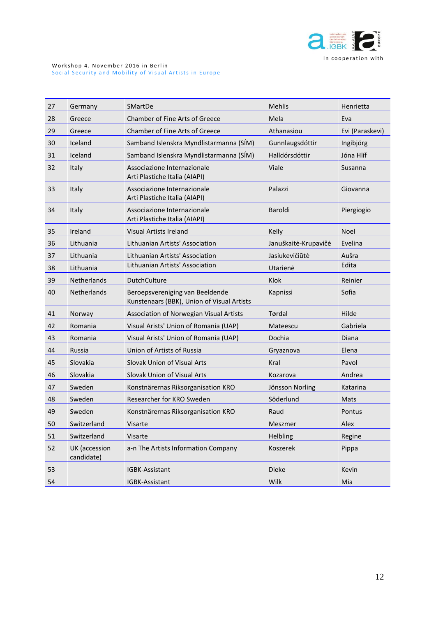

| 27 | Germany                     | SMartDe                                                                       | Mehlis               | Henrietta       |
|----|-----------------------------|-------------------------------------------------------------------------------|----------------------|-----------------|
| 28 | Greece                      | Chamber of Fine Arts of Greece                                                | Mela                 | Eva             |
| 29 | Greece                      | Chamber of Fine Arts of Greece                                                | Athanasiou           | Evi (Paraskevi) |
| 30 | Iceland                     | Samband Islenskra Myndlistarmanna (SÍM)                                       | Gunnlaugsdóttir      | Ingibjörg       |
| 31 | Iceland                     | Samband Islenskra Myndlistarmanna (SÍM)                                       | Halldórsdóttir       | Jóna Hlíf       |
| 32 | Italy                       | Associazione Internazionale<br>Arti Plastiche Italia (AIAPI)                  | Viale                | Susanna         |
| 33 | Italy                       | Associazione Internazionale<br>Arti Plastiche Italia (AIAPI)                  | Palazzi              | Giovanna        |
| 34 | Italy                       | Associazione Internazionale<br>Arti Plastiche Italia (AIAPI)                  | Baroldi              | Piergiogio      |
| 35 | Ireland                     | Visual Artists Ireland                                                        | Kelly                | <b>Noel</b>     |
| 36 | Lithuania                   | Lithuanian Artists' Association                                               | Januškaitė-Krupavičė | Evelina         |
| 37 | Lithuania                   | Lithuanian Artists' Association                                               | Jasiukevičiūtė       | Aušra           |
| 38 | Lithuania                   | Lithuanian Artists' Association                                               | Utarienė             | Edita           |
| 39 | Netherlands                 | <b>DutchCulture</b>                                                           | Klok                 | Reinier         |
| 40 | Netherlands                 | Beroepsvereniging van Beeldende<br>Kunstenaars (BBK), Union of Visual Artists | Kapnissi             | Sofia           |
| 41 | Norway                      | Association of Norwegian Visual Artists                                       | Tørdal               | Hilde           |
| 42 | Romania                     | Visual Arists' Union of Romania (UAP)                                         | Mateescu             | Gabriela        |
| 43 | Romania                     | Visual Arists' Union of Romania (UAP)                                         | Dochia               | Diana           |
| 44 | Russia                      | Union of Artists of Russia                                                    | Gryaznova            | Elena           |
| 45 | Slovakia                    | Slovak Union of Visual Arts                                                   | Kral                 | Pavol           |
| 46 | Slovakia                    | Slovak Union of Visual Arts                                                   | Kozarova             | Andrea          |
| 47 | Sweden                      | Konstnärernas Riksorganisation KRO                                            | Jönsson Norling      | Katarina        |
| 48 | Sweden                      | Researcher for KRO Sweden                                                     | Söderlund            | Mats            |
| 49 | Sweden                      | Konstnärernas Riksorganisation KRO                                            | Raud                 | Pontus          |
| 50 | Switzerland                 | Visarte                                                                       | Meszmer              | Alex            |
| 51 | Switzerland                 | Visarte                                                                       | Helbling             | Regine          |
| 52 | UK (accession<br>candidate) | a-n The Artists Information Company                                           | Koszerek             | Pippa           |
| 53 |                             | IGBK-Assistant                                                                | <b>Dieke</b>         | Kevin           |
| 54 |                             | IGBK-Assistant                                                                | Wilk                 | Mia             |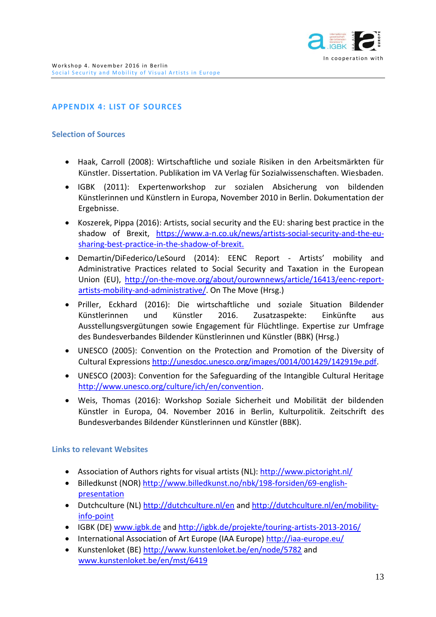

## <span id="page-15-0"></span>**APPENDIX 4: LIST OF SOURCES**

#### **Selection of Sources**

- Haak, Carroll (2008): Wirtschaftliche und soziale Risiken in den Arbeitsmärkten für Künstler. Dissertation. Publikation im VA Verlag für Sozialwissenschaften. Wiesbaden.
- IGBK (2011): Expertenworkshop zur sozialen Absicherung von bildenden Künstlerinnen und Künstlern in Europa, November 2010 in Berlin. Dokumentation der Ergebnisse.
- Koszerek, Pippa (2016): Artists, social security and the EU: sharing best practice in the shadow of Brexit, [https://www.a-n.co.uk/news/artists-social-security-and-the-eu](https://www.a-n.co.uk/news/artists-social-security-and-the-eu-sharing-best-practice-in-the-shadow-of-brexit)[sharing-best-practice-in-the-shadow-of-brexit.](https://www.a-n.co.uk/news/artists-social-security-and-the-eu-sharing-best-practice-in-the-shadow-of-brexit)
- Demartin/DiFederico/LeSourd (2014): EENC Report Artists' mobility and Administrative Practices related to Social Security and Taxation in the European Union (EU), [http://on-the-move.org/about/ourownnews/article/16413/eenc-report](http://on-the-move.org/about/ourownnews/article/16413/eenc-report-artists-mobility-and-administrative/)[artists-mobility-and-administrative/.](http://on-the-move.org/about/ourownnews/article/16413/eenc-report-artists-mobility-and-administrative/) On The Move (Hrsg.)
- Priller, Eckhard (2016): Die wirtschaftliche und soziale Situation Bildender Künstlerinnen und Künstler 2016. Zusatzaspekte: Einkünfte aus Ausstellungsvergütungen sowie Engagement für Flüchtlinge. Expertise zur Umfrage des Bundesverbandes Bildender Künstlerinnen und Künstler (BBK) (Hrsg.)
- UNESCO (2005): Convention on the Protection and Promotion of the Diversity of Cultural Expressions [http://unesdoc.unesco.org/images/0014/001429/142919e.pdf.](http://unesdoc.unesco.org/images/0014/001429/142919e.pdf)
- UNESCO (2003): Convention for the Safeguarding of the Intangible Cultural Heritage [http://www.unesco.org/culture/ich/en/convention.](http://www.unesco.org/culture/ich/en/convention)
- Weis, Thomas (2016): Workshop Soziale Sicherheit und Mobilität der bildenden Künstler in Europa, 04. November 2016 in Berlin, Kulturpolitik. Zeitschrift des Bundesverbandes Bildender Künstlerinnen und Künstler (BBK).

#### **Links to relevant Websites**

- Association of Authors rights for visual artists (NL):<http://www.pictoright.nl/>
- Billedkunst (NOR) [http://www.billedkunst.no/nbk/198-forsiden/69-english](http://www.billedkunst.no/nbk/198-forsiden/69-english-presentation)[presentation](http://www.billedkunst.no/nbk/198-forsiden/69-english-presentation)
- Dutchculture (NL)<http://dutchculture.nl/en> and [http://dutchculture.nl/en/mobility](http://dutchculture.nl/en/mobility-info-point)[info-point](http://dutchculture.nl/en/mobility-info-point)
- IGBK (DE) [www.igbk.de](http://www.igbk.de/) an[d http://igbk.de/projekte/touring-artists-2013-2016/](http://igbk.de/projekte/touring-artists-2013-2016/)
- International Association of Art Europe (IAA Europe)<http://iaa-europe.eu/>
- Kunstenloket (BE)<http://www.kunstenloket.be/en/node/5782> and [www.kunstenloket.be/en/mst/6419](http://www.kunstenloket.be/en/mst/6419)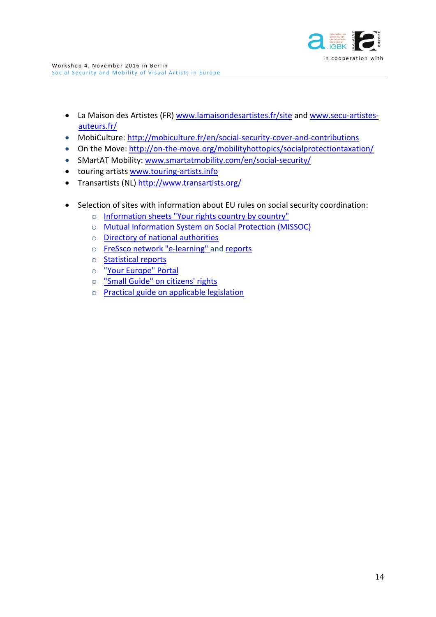

- La Maison des Artistes (FR) [www.lamaisondesartistes.fr/site](http://www.lamaisondesartistes.fr/site) and [www.secu-artistes](http://www.secu-artistes-auteurs.fr/)[auteurs.fr/](http://www.secu-artistes-auteurs.fr/)
- MobiCulture: <http://mobiculture.fr/en/social-security-cover-and-contributions>
- On the Move: <http://on-the-move.org/mobilityhottopics/socialprotectiontaxation/>
- SMartAT Mobility: [www.smartatmobility.com/en/social-security/](http://www.smartatmobility.com/en/social-security/)
- touring artists<www.touring-artists.info>
- Transartists (NL[\) http://www.transartists.org/](http://www.transartists.org/)
- Selection of sites with information about EU rules on social security coordination:
	- o [Information sheets "Your rights country by country"](http://ec.europa.eu/social/main.jsp?catId=858&langId=en)
	- o [Mutual Information System on Social Protection \(MISSOC\)](http://ec.europa.eu/social/main.jsp?catId=815&langId=en)
	- o [Directory of national authorities](http://ec.europa.eu/social/main.jsp?catId=1028&langId=en)
	- o [FreSsco](http://ec.europa.eu/social/main.jsp?catId=1142&langId=en) [network "e-learning" a](http://ec.europa.eu/social/main.jsp?catId=1142&langId=en)nd [reports](http://ec.europa.eu/social/main.jsp?catId=1098&langId=en)
	- o [Statistical reports](http://ec.europa.eu/social/main.jsp?catId=1154&langId=en)
	- o ["Your](http://europa.eu/youreurope/citizens/index_en.htm) [Europe" Portal](http://europa.eu/youreurope/citizens/index_en.htm)
	- o ["Small Guide" on citizens' rights](http://bookshop.europa.eu/en/the-eu-provisions-on-social-security-pbKE3110688/)
	- o [Practical guide on applicable legislation](http://ec.europa.eu/social/keyDocuments.jsp?type=0&policyArea=0&subCategory=0&country=0&year=0&advSearchKey=4944&mode=advancedSubmit&langId=en)